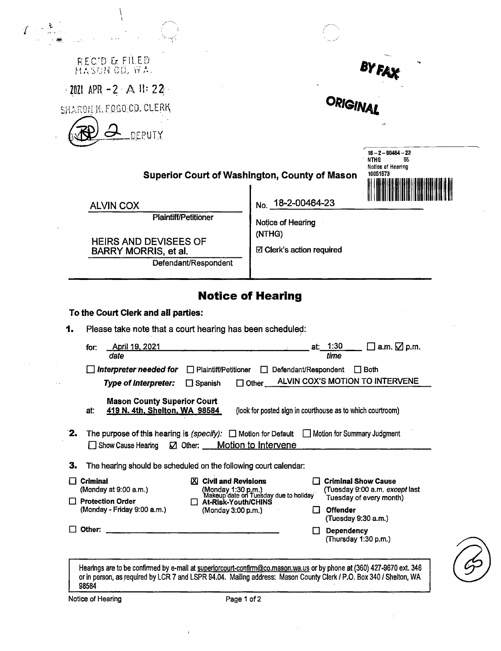| RECID & FILED                                                                                                                                |                                                                                                                                                              |
|----------------------------------------------------------------------------------------------------------------------------------------------|--------------------------------------------------------------------------------------------------------------------------------------------------------------|
| $\cdot$ 2021 APR - 2 A II: 22                                                                                                                | ORIGINAL                                                                                                                                                     |
| SHARON K.FOGO.CO. CLERK                                                                                                                      |                                                                                                                                                              |
| DEPUTY                                                                                                                                       |                                                                                                                                                              |
|                                                                                                                                              | $18 - 2 - 00464 - 23$<br><b>NTHG</b><br>55                                                                                                                   |
|                                                                                                                                              | Notice of Hearing<br>10051573<br><b>Superior Court of Washington, County of Mason</b>                                                                        |
|                                                                                                                                              | No. 18-2-00464-23                                                                                                                                            |
| <b>ALVIN COX</b><br><b>Plaintiff/Petitioner</b>                                                                                              |                                                                                                                                                              |
| <b>HEIRS AND DEVISEES OF</b>                                                                                                                 | Notice of Hearing<br>(NTHG)                                                                                                                                  |
| BARRY MORRIS, et al.<br>Defendant/Respondent                                                                                                 | ☑ Clerk's action required                                                                                                                                    |
|                                                                                                                                              |                                                                                                                                                              |
|                                                                                                                                              | <b>Notice of Hearing</b>                                                                                                                                     |
|                                                                                                                                              |                                                                                                                                                              |
|                                                                                                                                              |                                                                                                                                                              |
| Please take note that a court hearing has been scheduled:                                                                                    |                                                                                                                                                              |
| April 19, 2021<br>for:<br>date                                                                                                               | at. 1:30<br>$\square$ a.m. $\square$ p.m.<br>time                                                                                                            |
| $\Box$ Interpreter needed for                                                                                                                | □ Plaintiff/Petitioner □ Defendant/Respondent □ Both                                                                                                         |
| <b>Type of Interpreter:</b><br>$\Box$ Spanish                                                                                                | ALVIN COX'S MOTION TO INTERVENE<br>$\Box$ Other $\Box$                                                                                                       |
| <b>Mason County Superior Court</b><br>419 N. 4th, Shelton, WA 98584<br>at:                                                                   | (look for posted sign in courthouse as to which courtroom)                                                                                                   |
| □ Show Cause Hearing<br><b>2</b> Other: <b>Motion to Intervene</b>                                                                           | The purpose of this hearing is (specify): $\Box$ Motion for Default $\Box$ Motion for Summary Judgment                                                       |
|                                                                                                                                              |                                                                                                                                                              |
| To the Court Clerk and all parties:<br>1.<br>2.<br>The hearing should be scheduled on the following court calendar:<br>з.<br>$\Box$ Criminal | <b>X</b> Civil and Revisions<br><b>Criminal Show Cause</b>                                                                                                   |
| (Monday at 9:00 a.m.)                                                                                                                        | (Tuesday 9:00 a.m. except last<br>Tuesday of every month)                                                                                                    |
| $\Box$ Protection Order<br>(Monday - Friday 9:00 a.m.)                                                                                       | (Monday 1:30 p.m.)<br>Makeup date on Tuesday due to holiday<br>□ At-Risk-Youth/CHINS<br><b>Offender</b><br>(Monday 3:00 p.m.)<br>L.I.<br>(Tuesday 9:30 a.m.) |

Hearings are to be confirmed by e-mail at <u>superiorcourt-confirm@co.mason.wa.us</u> or by phone at (360) 427-9670 ext. 346 or in person, as required by LCR 7 and LSPR 94.04. Mailing address: Mason County Clerk/ P.O. Box 340 / Shelton, WA 98584

 $\bar{\mathcal{A}}$ 

 $\bar{\rm t}$